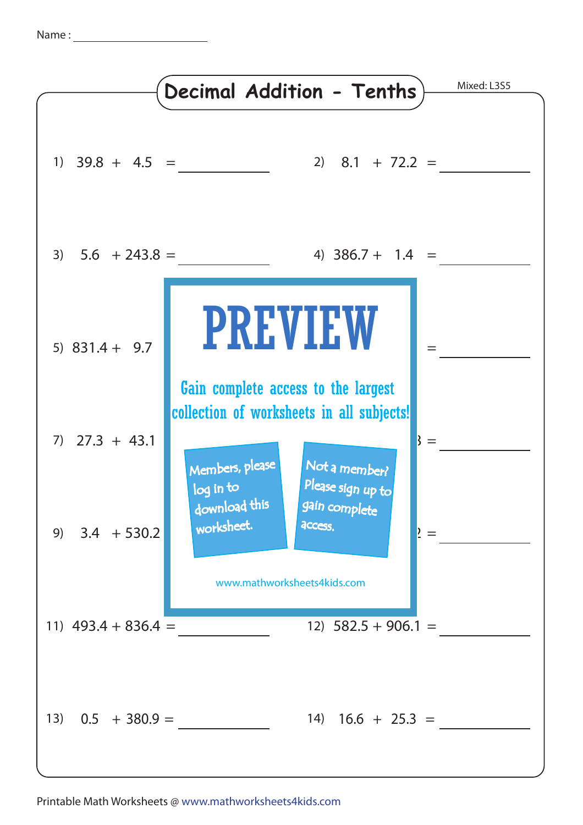